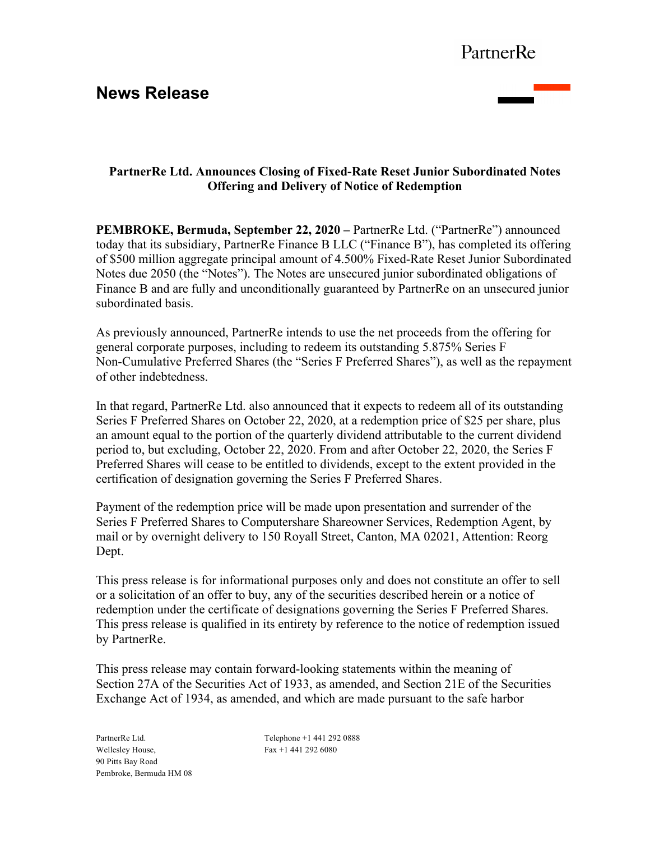## **News Release**



### **PartnerRe Ltd. Announces Closing of Fixed-Rate Reset Junior Subordinated Notes Offering and Delivery of Notice of Redemption**

**PEMBROKE, Bermuda, September 22, 2020 –** PartnerRe Ltd. ("PartnerRe") announced today that its subsidiary, PartnerRe Finance B LLC ("Finance B"), has completed its offering of \$500 million aggregate principal amount of 4.500% Fixed-Rate Reset Junior Subordinated Notes due 2050 (the "Notes"). The Notes are unsecured junior subordinated obligations of Finance B and are fully and unconditionally guaranteed by PartnerRe on an unsecured junior subordinated basis.

As previously announced, PartnerRe intends to use the net proceeds from the offering for general corporate purposes, including to redeem its outstanding 5.875% Series F Non-Cumulative Preferred Shares (the "Series F Preferred Shares"), as well as the repayment of other indebtedness.

In that regard, PartnerRe Ltd. also announced that it expects to redeem all of its outstanding Series F Preferred Shares on October 22, 2020, at a redemption price of \$25 per share, plus an amount equal to the portion of the quarterly dividend attributable to the current dividend period to, but excluding, October 22, 2020. From and after October 22, 2020, the Series F Preferred Shares will cease to be entitled to dividends, except to the extent provided in the certification of designation governing the Series F Preferred Shares.

Payment of the redemption price will be made upon presentation and surrender of the Series F Preferred Shares to Computershare Shareowner Services, Redemption Agent, by mail or by overnight delivery to 150 Royall Street, Canton, MA 02021, Attention: Reorg Dept.

This press release is for informational purposes only and does not constitute an offer to sell or a solicitation of an offer to buy, any of the securities described herein or a notice of redemption under the certificate of designations governing the Series F Preferred Shares. This press release is qualified in its entirety by reference to the notice of redemption issued by PartnerRe.

This press release may contain forward-looking statements within the meaning of Section 27A of the Securities Act of 1933, as amended, and Section 21E of the Securities Exchange Act of 1934, as amended, and which are made pursuant to the safe harbor

PartnerRe Ltd. Wellesley House, 90 Pitts Bay Road Pembroke, Bermuda HM 08

Telephone +1 441 292 0888 Fax +1 441 292 6080